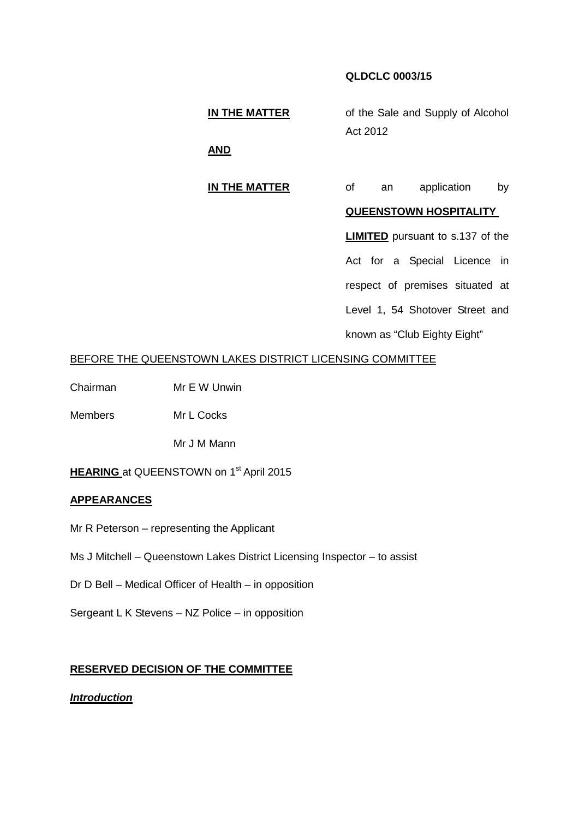# **QLDCLC 0003/15**

**IN THE MATTER** of the Sale and Supply of Alcohol Act 2012

**AND**

# **IN THE MATTER** of an application by

#### **QUEENSTOWN HOSPITALITY**

**LIMITED** pursuant to s.137 of the

Act for a Special Licence in respect of premises situated at

Level 1, 54 Shotover Street and

known as "Club Eighty Eight"

#### BEFORE THE QUEENSTOWN LAKES DISTRICT LICENSING COMMITTEE

Chairman Mr E W Unwin

Members Mr L Cocks

Mr J M Mann

## **HEARING** at QUEENSTOWN on 1<sup>st</sup> April 2015

#### **APPEARANCES**

- Mr R Peterson representing the Applicant
- Ms J Mitchell Queenstown Lakes District Licensing Inspector to assist
- Dr D Bell Medical Officer of Health in opposition
- Sergeant L K Stevens NZ Police in opposition

### **RESERVED DECISION OF THE COMMITTEE**

*Introduction*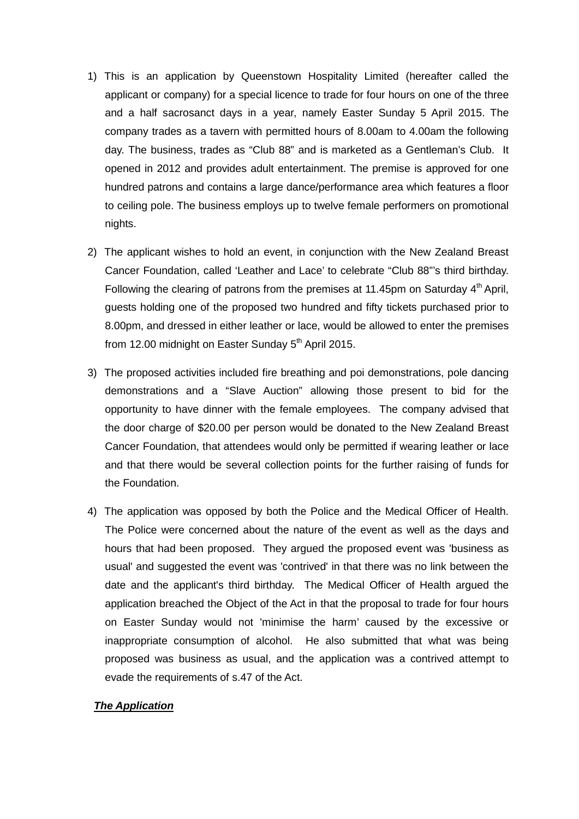- 1) This is an application by Queenstown Hospitality Limited (hereafter called the applicant or company) for a special licence to trade for four hours on one of the three and a half sacrosanct days in a year, namely Easter Sunday 5 April 2015. The company trades as a tavern with permitted hours of 8.00am to 4.00am the following day. The business, trades as "Club 88" and is marketed as a Gentleman's Club. It opened in 2012 and provides adult entertainment. The premise is approved for one hundred patrons and contains a large dance/performance area which features a floor to ceiling pole. The business employs up to twelve female performers on promotional nights.
- 2) The applicant wishes to hold an event, in conjunction with the New Zealand Breast Cancer Foundation, called 'Leather and Lace' to celebrate "Club 88"'s third birthday. Following the clearing of patrons from the premises at 11.45pm on Saturday  $4<sup>th</sup>$  April, guests holding one of the proposed two hundred and fifty tickets purchased prior to 8.00pm, and dressed in either leather or lace, would be allowed to enter the premises from 12.00 midnight on Easter Sunday  $5<sup>th</sup>$  April 2015.
- 3) The proposed activities included fire breathing and poi demonstrations, pole dancing demonstrations and a "Slave Auction" allowing those present to bid for the opportunity to have dinner with the female employees. The company advised that the door charge of \$20.00 per person would be donated to the New Zealand Breast Cancer Foundation, that attendees would only be permitted if wearing leather or lace and that there would be several collection points for the further raising of funds for the Foundation.
- 4) The application was opposed by both the Police and the Medical Officer of Health. The Police were concerned about the nature of the event as well as the days and hours that had been proposed. They argued the proposed event was 'business as usual' and suggested the event was 'contrived' in that there was no link between the date and the applicant's third birthday. The Medical Officer of Health argued the application breached the Object of the Act in that the proposal to trade for four hours on Easter Sunday would not 'minimise the harm' caused by the excessive or inappropriate consumption of alcohol. He also submitted that what was being proposed was business as usual, and the application was a contrived attempt to evade the requirements of s.47 of the Act.

## *The Application*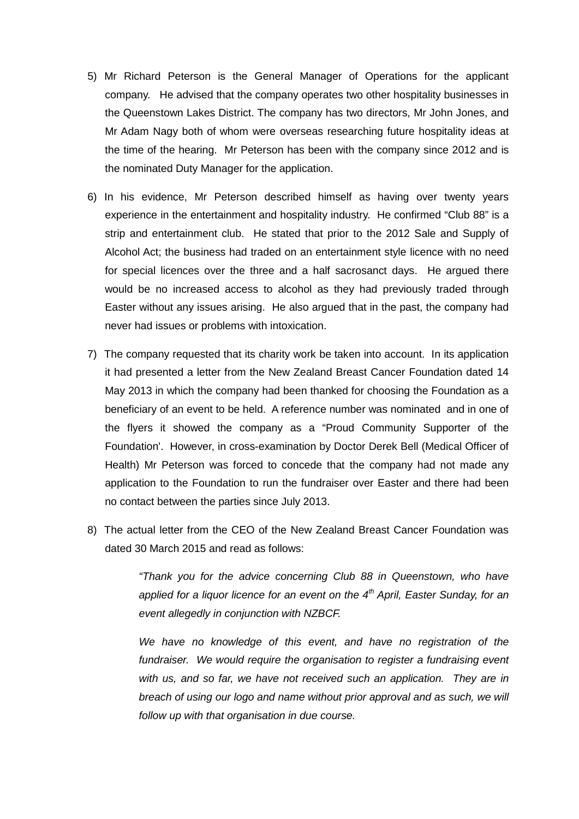- 5) Mr Richard Peterson is the General Manager of Operations for the applicant company. He advised that the company operates two other hospitality businesses in the Queenstown Lakes District. The company has two directors, Mr John Jones, and Mr Adam Nagy both of whom were overseas researching future hospitality ideas at the time of the hearing. Mr Peterson has been with the company since 2012 and is the nominated Duty Manager for the application.
- 6) In his evidence, Mr Peterson described himself as having over twenty years experience in the entertainment and hospitality industry. He confirmed "Club 88" is a strip and entertainment club. He stated that prior to the 2012 Sale and Supply of Alcohol Act; the business had traded on an entertainment style licence with no need for special licences over the three and a half sacrosanct days. He argued there would be no increased access to alcohol as they had previously traded through Easter without any issues arising. He also argued that in the past, the company had never had issues or problems with intoxication.
- 7) The company requested that its charity work be taken into account. In its application it had presented a letter from the New Zealand Breast Cancer Foundation dated 14 May 2013 in which the company had been thanked for choosing the Foundation as a beneficiary of an event to be held. A reference number was nominated and in one of the flyers it showed the company as a "Proud Community Supporter of the Foundation'. However, in cross-examination by Doctor Derek Bell (Medical Officer of Health) Mr Peterson was forced to concede that the company had not made any application to the Foundation to run the fundraiser over Easter and there had been no contact between the parties since July 2013.
- 8) The actual letter from the CEO of the New Zealand Breast Cancer Foundation was dated 30 March 2015 and read as follows:

*"Thank you for the advice concerning Club 88 in Queenstown, who have applied for a liquor licence for an event on the 4th April, Easter Sunday, for an event allegedly in conjunction with NZBCF.*

*We have no knowledge of this event, and have no registration of the fundraiser. We would require the organisation to register a fundraising event with us, and so far, we have not received such an application. They are in breach of using our logo and name without prior approval and as such, we will follow up with that organisation in due course.*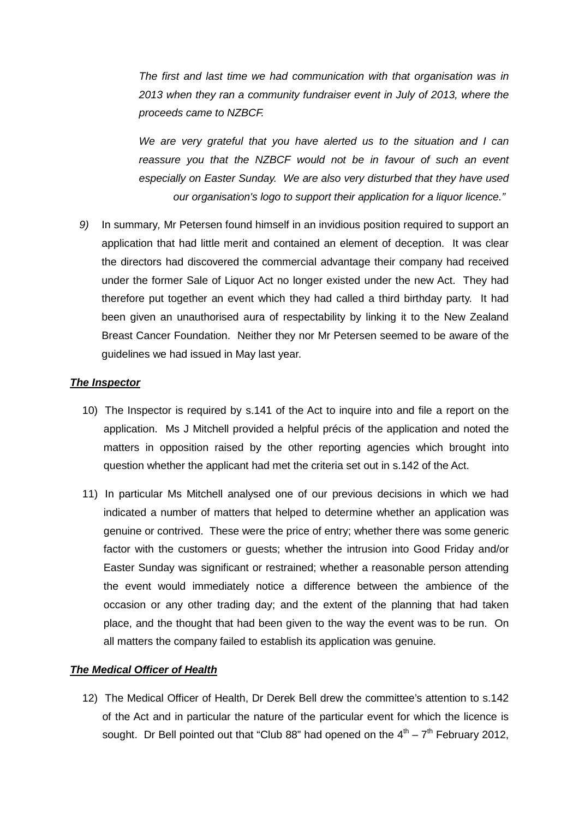*The first and last time we had communication with that organisation was in 2013 when they ran a community fundraiser event in July of 2013, where the proceeds came to NZBCF.*

*We are very grateful that you have alerted us to the situation and I can reassure you that the NZBCF would not be in favour of such an event especially on Easter Sunday. We are also very disturbed that they have used our organisation's logo to support their application for a liquor licence."*

*9)* In summary*,* Mr Petersen found himself in an invidious position required to support an application that had little merit and contained an element of deception. It was clear the directors had discovered the commercial advantage their company had received under the former Sale of Liquor Act no longer existed under the new Act. They had therefore put together an event which they had called a third birthday party. It had been given an unauthorised aura of respectability by linking it to the New Zealand Breast Cancer Foundation. Neither they nor Mr Petersen seemed to be aware of the guidelines we had issued in May last year.

## *The Inspector*

- 10) The Inspector is required by s.141 of the Act to inquire into and file a report on the application. Ms J Mitchell provided a helpful précis of the application and noted the matters in opposition raised by the other reporting agencies which brought into question whether the applicant had met the criteria set out in s.142 of the Act.
- 11) In particular Ms Mitchell analysed one of our previous decisions in which we had indicated a number of matters that helped to determine whether an application was genuine or contrived. These were the price of entry; whether there was some generic factor with the customers or guests; whether the intrusion into Good Friday and/or Easter Sunday was significant or restrained; whether a reasonable person attending the event would immediately notice a difference between the ambience of the occasion or any other trading day; and the extent of the planning that had taken place, and the thought that had been given to the way the event was to be run. On all matters the company failed to establish its application was genuine.

## *The Medical Officer of Health*

12) The Medical Officer of Health, Dr Derek Bell drew the committee's attention to s.142 of the Act and in particular the nature of the particular event for which the licence is sought. Dr Bell pointed out that "Club 88" had opened on the  $4<sup>th</sup> - 7<sup>th</sup>$  February 2012,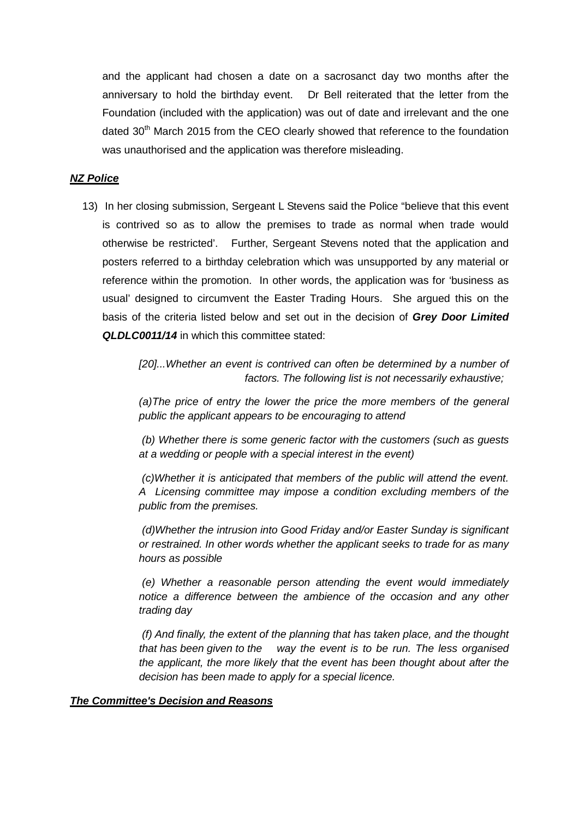and the applicant had chosen a date on a sacrosanct day two months after the anniversary to hold the birthday event. Dr Bell reiterated that the letter from the Foundation (included with the application) was out of date and irrelevant and the one dated 30<sup>th</sup> March 2015 from the CEO clearly showed that reference to the foundation was unauthorised and the application was therefore misleading.

# *NZ Police*

13) In her closing submission, Sergeant L Stevens said the Police "believe that this event is contrived so as to allow the premises to trade as normal when trade would otherwise be restricted'. Further, Sergeant Stevens noted that the application and posters referred to a birthday celebration which was unsupported by any material or reference within the promotion. In other words, the application was for 'business as usual' designed to circumvent the Easter Trading Hours. She argued this on the basis of the criteria listed below and set out in the decision of *Grey Door Limited QLDLC0011/14* in which this committee stated:

> *[20]...Whether an event is contrived can often be determined by a number of factors. The following list is not necessarily exhaustive;*

> *(a)The price of entry the lower the price the more members of the general public the applicant appears to be encouraging to attend*

> *(b) Whether there is some generic factor with the customers (such as guests at a wedding or people with a special interest in the event)*

> *(c)Whether it is anticipated that members of the public will attend the event. A Licensing committee may impose a condition excluding members of the public from the premises.*

> *(d)Whether the intrusion into Good Friday and/or Easter Sunday is significant or restrained. In other words whether the applicant seeks to trade for as many hours as possible*

> *(e) Whether a reasonable person attending the event would immediately notice a difference between the ambience of the occasion and any other trading day*

> *(f) And finally, the extent of the planning that has taken place, and the thought that has been given to the way the event is to be run. The less organised the applicant, the more likely that the event has been thought about after the decision has been made to apply for a special licence.*

#### *The Committee's Decision and Reasons*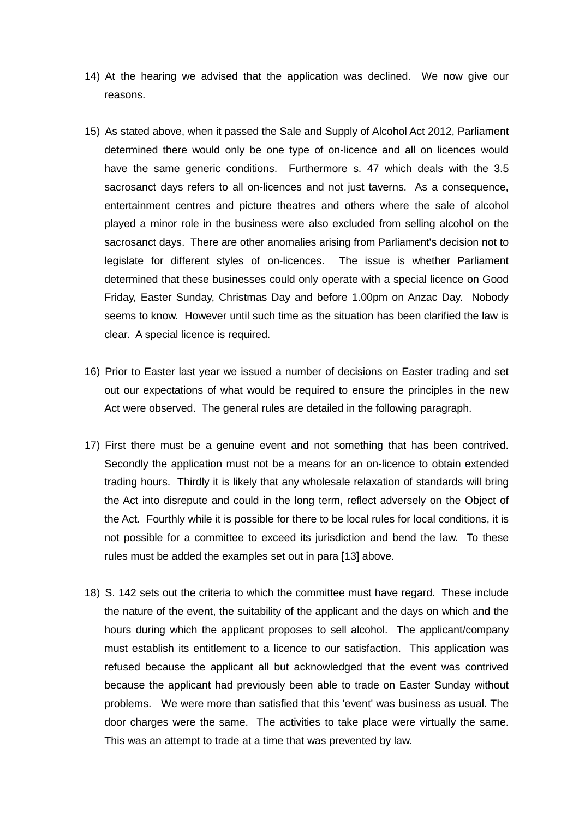- 14) At the hearing we advised that the application was declined. We now give our reasons.
- 15) As stated above, when it passed the Sale and Supply of Alcohol Act 2012, Parliament determined there would only be one type of on-licence and all on licences would have the same generic conditions. Furthermore s. 47 which deals with the 3.5 sacrosanct days refers to all on-licences and not just taverns. As a consequence, entertainment centres and picture theatres and others where the sale of alcohol played a minor role in the business were also excluded from selling alcohol on the sacrosanct days. There are other anomalies arising from Parliament's decision not to legislate for different styles of on-licences. The issue is whether Parliament determined that these businesses could only operate with a special licence on Good Friday, Easter Sunday, Christmas Day and before 1.00pm on Anzac Day. Nobody seems to know. However until such time as the situation has been clarified the law is clear. A special licence is required.
- 16) Prior to Easter last year we issued a number of decisions on Easter trading and set out our expectations of what would be required to ensure the principles in the new Act were observed. The general rules are detailed in the following paragraph.
- 17) First there must be a genuine event and not something that has been contrived. Secondly the application must not be a means for an on-licence to obtain extended trading hours. Thirdly it is likely that any wholesale relaxation of standards will bring the Act into disrepute and could in the long term, reflect adversely on the Object of the Act. Fourthly while it is possible for there to be local rules for local conditions, it is not possible for a committee to exceed its jurisdiction and bend the law. To these rules must be added the examples set out in para [13] above.
- 18) S. 142 sets out the criteria to which the committee must have regard. These include the nature of the event, the suitability of the applicant and the days on which and the hours during which the applicant proposes to sell alcohol. The applicant/company must establish its entitlement to a licence to our satisfaction. This application was refused because the applicant all but acknowledged that the event was contrived because the applicant had previously been able to trade on Easter Sunday without problems. We were more than satisfied that this 'event' was business as usual. The door charges were the same. The activities to take place were virtually the same. This was an attempt to trade at a time that was prevented by law.